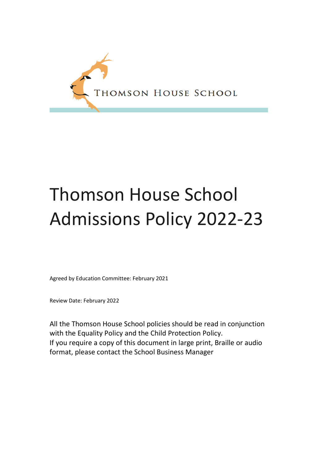

# Thomson House School Admissions Policy 2022-23

Agreed by Education Committee: February 2021

Review Date: February 2022

All the Thomson House School policies should be read in conjunction with the Equality Policy and the Child Protection Policy. If you require a copy of this document in large print, Braille or audio format, please contact the School Business Manager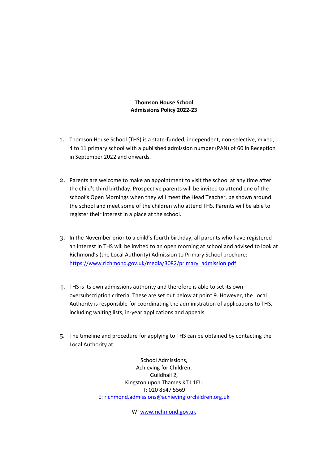#### **Thomson House School Admissions Policy 2022-23**

- 1. Thomson House School (THS) is a state-funded, independent, non-selective, mixed, 4 to 11 primary school with a published admission number (PAN) of 60 in Reception in September 2022 and onwards.
- 2. Parents are welcome to make an appointment to visit the school at any time after the child's third birthday. Prospective parents will be invited to attend one of the school's Open Mornings when they will meet the Head Teacher, be shown around the school and meet some of the children who attend THS. Parents will be able to register their interest in a place at the school.
- 3. In the November prior to a child's fourth birthday, all parents who have registered an interest in THS will be invited to an open morning at school and advised to look at Richmond's (the Local Authority) Admission to Primary School brochure: [https://www.richmond.gov.uk/media/3082/primary\\_admission.pdf](https://www.richmond.gov.uk/media/3082/primary_admission.pdf)
- 4. THS is its own admissions authority and therefore is able to set its own oversubscription criteria. These are set out below at point 9. However, the Local Authority is responsible for coordinating the administration of applications to THS, including waiting lists, in-year applications and appeals.
- 5. The timeline and procedure for applying to THS can be obtained by contacting the Local Authority at:

School Admissions, Achieving for Children, Guildhall 2, Kingston upon Thames KT1 1EU T: 020 8547 5569 E: [richmond.admissions@achievingforchildren.org.uk](mailto:richmond.admissions@achievingforchildren.org.uk)

W: [www.richmond.gov.uk](http://www.richmond.gov.uk/)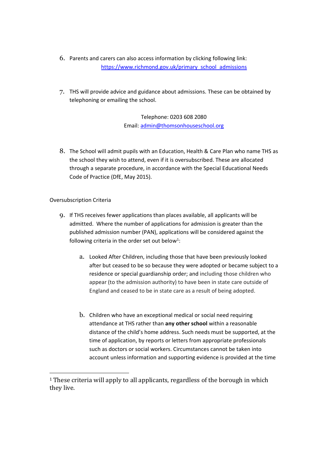- 6. Parents and carers can also access information by clicking following link: [https://www.richmond.gov.uk/primary\\_school\\_admissions](https://www.richmond.gov.uk/primary_school_admissions)
- 7. THS will provide advice and guidance about admissions. These can be obtained by telephoning or emailing the school.

Telephone: 0203 608 2080 Email[: admin@thomsonhouseschool.org](mailto:admin@thomsonhouseschool.org)

8. The School will admit pupils with an Education, Health & Care Plan who name THS as the school they wish to attend, even if it is oversubscribed. These are allocated through a separate procedure, in accordance with the Special Educational Needs Code of Practice (DfE, May 2015).

### Oversubscription Criteria

- 9. If THS receives fewer applications than places available, all applicants will be admitted. Where the number of applications for admission is greater than the published admission number (PAN), applications will be considered against the following criteria in the order set out below<sup>1</sup>:
	- a. Looked After Children, including those that have been previously looked after but ceased to be so because they were adopted or became subject to a residence or special guardianship order; and including those children who appear (to the admission authority) to have been in state care outside of England and ceased to be in state care as a result of being adopted.
	- b. Children who have an exceptional medical or social need requiring attendance at THS rather than **any other school** within a reasonable distance of the child's home address. Such needs must be supported, at the time of application, by reports or letters from appropriate professionals such as doctors or social workers. Circumstances cannot be taken into account unless information and supporting evidence is provided at the time

<sup>&</sup>lt;sup>1</sup> These criteria will apply to all applicants, regardless of the borough in which they live.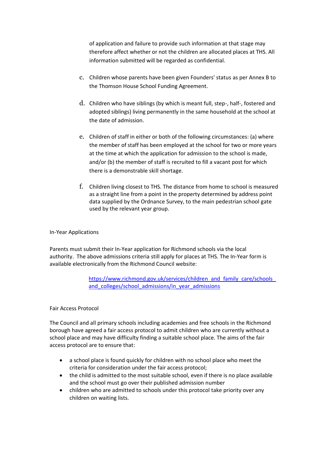of application and failure to provide such information at that stage may therefore affect whether or not the children are allocated places at THS. All information submitted will be regarded as confidential.

- c. Children whose parents have been given Founders' status as per Annex B to the Thomson House School Funding Agreement.
- d. Children who have siblings (by which is meant full, step-, half-, fostered and adopted siblings) living permanently in the same household at the school at the date of admission.
- e. Children of staff in either or both of the following circumstances: (a) where the member of staff has been employed at the school for two or more years at the time at which the application for admission to the school is made, and/or (b) the member of staff is recruited to fill a vacant post for which there is a demonstrable skill shortage.
- f. Children living closest to THS. The distance from home to school is measured as a straight line from a point in the property determined by address point data supplied by the Ordnance Survey, to the main pedestrian school gate used by the relevant year group.

#### In-Year Applications

Parents must submit their In-Year application for Richmond schools via the local authority. The above admissions criteria still apply for places at THS. The In-Year form is available electronically from the Richmond Council website:

> https://www.richmond.gov.uk/services/children\_and\_family\_care/schools and colleges/school admissions/in year admissions

#### Fair Access Protocol

The Council and all primary schools including academies and free schools in the Richmond borough have agreed a fair access protocol to admit children who are currently without a school place and may have difficulty finding a suitable school place. The aims of the fair access protocol are to ensure that:

- a school place is found quickly for children with no school place who meet the criteria for consideration under the fair access protocol;
- the child is admitted to the most suitable school, even if there is no place available and the school must go over their published admission number
- children who are admitted to schools under this protocol take priority over any children on waiting lists.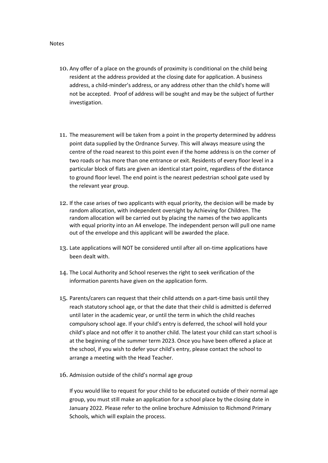Notes

- 10. Any offer of a place on the grounds of proximity is conditional on the child being resident at the address provided at the closing date for application. A business address, a child-minder's address, or any address other than the child's home will not be accepted. Proof of address will be sought and may be the subject of further investigation.
- 11. The measurement will be taken from a point in the property determined by address point data supplied by the Ordnance Survey. This will always measure using the centre of the road nearest to this point even if the home address is on the corner of two roads or has more than one entrance or exit. Residents of every floor level in a particular block of flats are given an identical start point, regardless of the distance to ground floor level. The end point is the nearest pedestrian school gate used by the relevant year group.
- 12. If the case arises of two applicants with equal priority, the decision will be made by random allocation, with independent oversight by Achieving for Children. The random allocation will be carried out by placing the names of the two applicants with equal priority into an A4 envelope. The independent person will pull one name out of the envelope and this applicant will be awarded the place.
- 13. Late applications will NOT be considered until after all on-time applications have been dealt with.
- 14. The Local Authority and School reserves the right to seek verification of the information parents have given on the application form.
- 15. Parents/carers can request that their child attends on a part-time basis until they reach statutory school age, or that the date that their child is admitted is deferred until later in the academic year, or until the term in which the child reaches compulsory school age. If your child's entry is deferred, the school will hold your child's place and not offer it to another child. The latest your child can start school is at the beginning of the summer term 2023. Once you have been offered a place at the school, if you wish to defer your child's entry, please contact the school to arrange a meeting with the Head Teacher.
- 16. Admission outside of the child's normal age group

If you would like to request for your child to be educated outside of their normal age group, you must still make an application for a school place by the closing date in January 2022. Please refer to the online brochure Admission to Richmond Primary Schools, which will explain the process.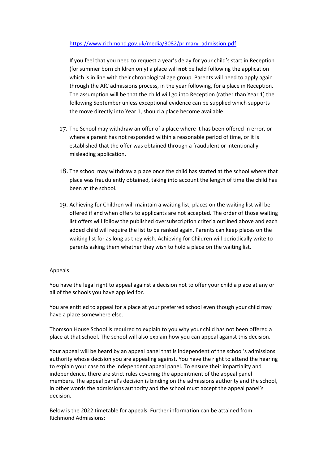#### [https://www.richmond.gov.uk/media/3082/primary\\_admission.pdf](https://www.richmond.gov.uk/media/3082/primary_admission.pdf)

If you feel that you need to request a year's delay for your child's start in Reception (for summer born children only) a place will **not** be held following the application which is in line with their chronological age group. Parents will need to apply again through the AfC admissions process, in the year following, for a place in Reception. The assumption will be that the child will go into Reception (rather than Year 1) the following September unless exceptional evidence can be supplied which supports the move directly into Year 1, should a place become available.

- 17. The School may withdraw an offer of a place where it has been offered in error, or where a parent has not responded within a reasonable period of time, or it is established that the offer was obtained through a fraudulent or intentionally misleading application.
- 18. The school may withdraw a place once the child has started at the school where that place was fraudulently obtained, taking into account the length of time the child has been at the school.
- 19. Achieving for Children will maintain a waiting list; places on the waiting list will be offered if and when offers to applicants are not accepted. The order of those waiting list offers will follow the published oversubscription criteria outlined above and each added child will require the list to be ranked again. Parents can keep places on the waiting list for as long as they wish. Achieving for Children will periodically write to parents asking them whether they wish to hold a place on the waiting list.

#### Appeals

You have the legal right to appeal against a decision not to offer your child a place at any or all of the schools you have applied for.

You are entitled to appeal for a place at your preferred school even though your child may have a place somewhere else.

Thomson House School is required to explain to you why your child has not been offered a place at that school. The school will also explain how you can appeal against this decision.

Your appeal will be heard by an appeal panel that is independent of the school's admissions authority whose decision you are appealing against. You have the right to attend the hearing to explain your case to the independent appeal panel. To ensure their impartiality and independence, there are strict rules covering the appointment of the appeal panel members. The appeal panel's decision is binding on the admissions authority and the school, in other words the admissions authority and the school must accept the appeal panel's decision.

Below is the 2022 timetable for appeals. Further information can be attained from Richmond Admissions: